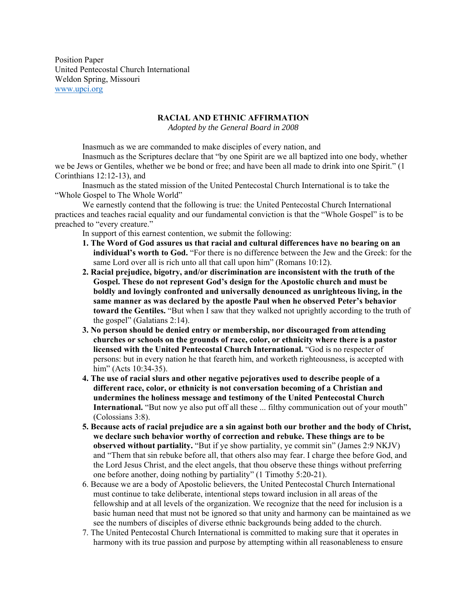Position Paper United Pentecostal Church International Weldon Spring, Missouri www.upci.org

## **RACIAL AND ETHNIC AFFIRMATION**

*Adopted by the General Board in 2008* 

Inasmuch as we are commanded to make disciples of every nation, and

Inasmuch as the Scriptures declare that "by one Spirit are we all baptized into one body, whether we be Jews or Gentiles, whether we be bond or free; and have been all made to drink into one Spirit." (1 Corinthians 12:12-13), and

Inasmuch as the stated mission of the United Pentecostal Church International is to take the "Whole Gospel to The Whole World"

We earnestly contend that the following is true: the United Pentecostal Church International practices and teaches racial equality and our fundamental conviction is that the "Whole Gospel" is to be preached to "every creature."

In support of this earnest contention, we submit the following:

- **1. The Word of God assures us that racial and cultural differences have no bearing on an individual's worth to God.** "For there is no difference between the Jew and the Greek: for the same Lord over all is rich unto all that call upon him" (Romans 10:12).
- **2. Racial prejudice, bigotry, and/or discrimination are inconsistent with the truth of the Gospel. These do not represent God's design for the Apostolic church and must be boldly and lovingly confronted and universally denounced as unrighteous living, in the same manner as was declared by the apostle Paul when he observed Peter's behavior toward the Gentiles.** "But when I saw that they walked not uprightly according to the truth of the gospel" (Galatians 2:14).
- **3. No person should be denied entry or membership, nor discouraged from attending churches or schools on the grounds of race, color, or ethnicity where there is a pastor licensed with the United Pentecostal Church International.** "God is no respecter of persons: but in every nation he that feareth him, and worketh righteousness, is accepted with him" (Acts 10:34-35).
- **4. The use of racial slurs and other negative pejoratives used to describe people of a different race, color, or ethnicity is not conversation becoming of a Christian and undermines the holiness message and testimony of the United Pentecostal Church International.** "But now ye also put off all these ... filthy communication out of your mouth" (Colossians 3:8).
- **5. Because acts of racial prejudice are a sin against both our brother and the body of Christ, we declare such behavior worthy of correction and rebuke. These things are to be observed without partiality.** "But if ye show partiality, ye commit sin" (James 2:9 NKJV) and "Them that sin rebuke before all, that others also may fear. I charge thee before God, and the Lord Jesus Christ, and the elect angels, that thou observe these things without preferring one before another, doing nothing by partiality" (1 Timothy 5:20-21).
- 6. Because we are a body of Apostolic believers, the United Pentecostal Church International must continue to take deliberate, intentional steps toward inclusion in all areas of the fellowship and at all levels of the organization. We recognize that the need for inclusion is a basic human need that must not be ignored so that unity and harmony can be maintained as we see the numbers of disciples of diverse ethnic backgrounds being added to the church.
- 7. The United Pentecostal Church International is committed to making sure that it operates in harmony with its true passion and purpose by attempting within all reasonableness to ensure